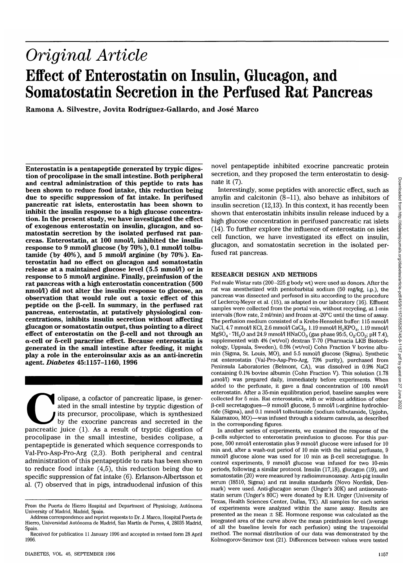# *Original Article* **Effect of Enterostatin on Insulin, Glucagon, and Somatostatin Secretion in the Perfused Rat Pancreas**

**Ramona A. Silvestre, Jovita Rodriguez-Gallardo, and Jose Marco**

**Enterostatin is a pentapeptide generated by trypic diges- tion of procolipase in the small intestine. Both peripheral and central administration of this peptide to rats has been shown to reduce food intake, this reduction being due to specific suppression of fat intake. In perifused pancreatic rat islets, enterostatin has been shown to inhibit the insulin response to a high glucose concentra- tion. In the present study, we have investigated the effect of exogenous enterostatin on insulin, glucagon, and so- matostatin secretion by the isolated perfused rat pan- creas. Enterostatin, at 100 nmol/1, inhibited the insulin response to 9 mmol/1 glucose (by 70%), 0.1 mmol/1 tolbu- tamide (by 40%), and 5 mmol/1 arginine (by 70%). En- terostatin had no effect on glucagon and somatostatin release at a maintained glucose level (5.5 mmol/1) or in response to 5 mmol/1 arginine. Finally, preinfusion of the rat pancreas with a high enterostatin concentration (500 nmol/1) did not alter the insulin response to glucose, an observation that would rule out a toxic effect of this** peptide on the  $\beta$ -cell. In summary, in the perfused rat **pancreas, enterostatin, at putatively physiological con- centrations, inhibits insulin secretion without affecting glucagon or somatostatin output, thus pointing to a direct** effect of enterostatin on the  $\beta$ -cell and not through an **ct-cell or 8-cell paracrine effect. Because enterostatin is generated in the small intestine after feeding, it might play a role in the enteroinsular axis as an anti-incretin agent.** *Diabetes* **45:1157-1160, 1996**

olipase, a cofactor of pancreatic lipase, is generated in the small intestine by tryptic digestion of its precursor, procolipase, which is synthesized by the exocrine pancreas and secreted in the pancreatic juice (1). As a result of tryptic digestion of procolipase in the small intestine, besides colipase, a pentapeptide is generated which sequence corresponds to Val-Pro-Asp-Pro-Arg (2,3). Both peripheral and central administration of this pentapeptide to rats has been shown to reduce food intake (4,5), this reduction being due to specific suppression of fat intake (6). Erlanson-Albertsson et al. (7) observed that in pigs, intraduodenal infusion of this novel pentapeptide inhibited exocrine pancreatic protein secretion, and they proposed the term enterostatin to designate it (7).

Interestingly, some peptides with anorectic effect, such as amylin and calcitonin (8-11), also behave as inhibitors of insulin secretion (12,13). In this context, it has recently been shown that enterostatin inhibits insulin release induced by a high glucose concentration in perifused pancreatic rat islets (14). To further explore the influence of enterostatin on islet cell function, we have investigated its effect on insulin, glucagon, and somatostatin secretion in the isolated perfused rat pancreas.

### **RESEARCH DESIGN AND METHODS**

Fed male Wistar rats (200-225 g body wt) were used as donors. After the rat was anesthetized with pentobarbital sodium (50 mg/kg, i.p.), the pancreas was dissected and perfused in situ according to the procedure of Leclercq-Meyer et al. (15), as adapted in our laboratory (16). Effluent samples were collected from the portal vein, without recycling, at 1-min intervals (flow rate, 2 ml/min) and frozen at -20°C until the time of assay. The perfusion medium consisted of a Krebs-Henseleit buffer: 115 mmol/1 NaCl, 4.7 mmol/l KCl, 2.6 mmol/l CaCl<sub>2</sub>, 1.19 mmol/l  $\rm H_2KPO_4$ , 1.19 mmol/l MgSO<sub>4</sub> · 7H<sub>2</sub>O and 24.9 mmol/l HNaCO<sub>3</sub> (gas phase 95:5, O<sub>2</sub>:CO<sub>2</sub>; pH 7.4), supplemented with 4% (wt/vol) dextran T-70 (Pharmacia LKB Biotechnology, Uppsala, Sweden), 0.5% (wt/vol) Cohn Fraction V bovine albumin (Sigma, St. Louis, MO), and 5.5 mmol/1 glucose (Sigma). Synthetic rat enterostatin (Val-Pro-Asp-Pro-Arg, 73% purity), purchased from Peninsula Laboratories (Belmont, CA), was dissolved in 0.9% NaCl containing 0.1% bovine albumin (Conn Fraction V). This solution (1.78  $\mu$ mol/l) was prepared daily, immediately before experiments. When added to the perfusate, it gave a final concentration of 100 nmol/1 enterostatin. After a 35-min equilibration period, baseline samples were collected for 5 min. Rat enterostatin, with or without addition of other P-cell secretagogues—9 mmol/1 glucose, 5 mmol/1 L-arginine hydrochloride (Sigma), and 0.1 mmol/1 tolbutamide (sodium tolbutamide, Upjohn, Kalamazoo, MO)—was infused through a sidearm cannula, as described in the corresponding figures.

In another series of experiments, we examined the response of the P-cells subjected to enterostatin preinfusion to glucose. For this purpose, 500 nmol/l enterostatin plus 9 mmol/l glucose were infused for 10 min and, after a wash-out period of 10 min with the initial perfusate, 9 mmol/l glucose alone was used for 10 min as  $\beta$ -cell secretagogue. In control experiments, 9 mmol/1 glucose was infused for two 10-min periods, following a similar protocol. Insulin (17,18), glucagon (19), and somatostatin (20) were measured by radioimmunoassay. Anti-pig insulin serum (18510, Sigma) and rat insulin standards (Novo Nordisk, Denmark) were used. Anti-glucagon serum (Unger's 30K) and antisomatostatin serum (Unger's 80C) were donated by R.H. Unger (University of Texas, Health Sciences Center, Dallas, TX). All samples for each series of experiments were analyzed within the same assay. Results are presented as the mean ± SE. Hormone response was calculated as the integrated area of the curve above the mean preinfusion level (average of all the baseline levels for each perfusion) using the trapezoidal method. The normal distribution of our data was demonstrated by the Kolmogorov-Smimov test (21). Differences between values were tested

From the Puerta de Hierro Hospital and Department of Physiology, Autónoma University of Madrid, Madrid, Spain.

Address correspondence and reprint requests to Dr. J. Marco, Hospital Puerta de Hierro, Universidad Autónoma de Madrid, San Martín de Porres, 4, 28035 Madrid, Spain.

Received for publication 11 January 1996 and accepted in revised form 28 April 1996.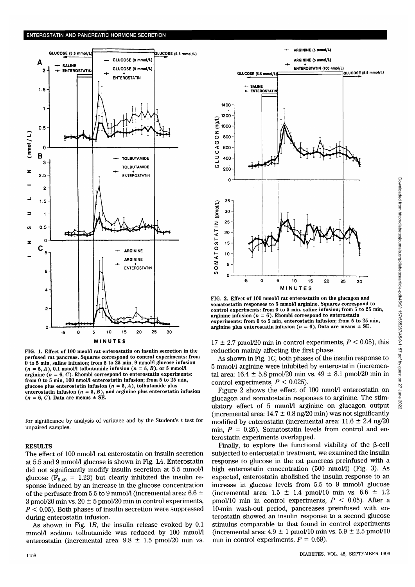

FIG. 1. Effect of 100 nmol/l rat enterostatin on insulin secretion in the perfused rat pancreas. Squares correspond to control experiments: from 0 to 5 min, saline infusion; from 5 to 25 min, 9 mmol/l glucose infusion  $(n =$ arginine ( $n = 6$ , C). Rhombi correspond to enterostatin experiments:<br>from 0 to 5 min, 100 nmol/l enterostatin infusion; from 5 to 25 min,<br>glucose plus enterostatin infusion ( $n = 5$ , A), tolbutamide plus<br>enterostatin infus

for significance by analysis of variance and by the Student's *t* test for unpaired samples.

#### RESULTS

The effect of 100 nmol/1 rat enterostatin on insulin secretion at 5.5 and 9 mmol/1 glucose is shown in Fig. 1A Enterostatin did not significantly modify insulin secretion at 5.5 mmol/1 glucose ( $F_{5,40}$  = 1.23) but clearly inhibited the insulin response induced by an increase in the glucose concentration of the perfusate from 5.5 to 9 mmol/1 (incremental area: 6.6  $\pm$ 3 pmol/20 min vs.  $20 \pm 5$  pmol/20 min in control experiments, *P <* 0.05). Both phases of insulin secretion were suppressed during enterostatin infusion.

As shown in Fig. *IB,* the insulin release evoked by 0.1 mmol/1 sodium tolbutamide was reduced by 100 mmol/1 enterostatin (incremental area:  $9.8 \pm 1.5$  pmol/20 min vs.



FIG. 2. Effect of 100 mmol/l rat enterostatin on the glucagon and somatostatin responses to 5 mmol/l arginine. Squares correspond to control experiments: from 0 to 5 min, saline infusion; from 5 to 25 min, arginine infusion ( $n = 6$ ). Rhombi correspond to enterostatin experiments: from 0 to 5 min, enterostatin infusion; from 5 to 25 min, arginine plus e

 $17 \pm 2.7$  pmol/20 min in control experiments,  $P < 0.05$ ), this reduction mainly affecting the first phase.

As shown in Fig. 1C, both phases of the insulin response to 5 mmol/1 arginine were inhibited by enterostatin (incremental area:  $16.4 \pm 5.8$  pmol/20 min vs.  $49 \pm 8.1$  pmol/20 min in control experiments,  $P < 0.025$ ).

Figure 2 shows the effect of 100 nmol/l enterostatin on glucagon and somatostatin responses to arginine. The stimulatory effect of 5 mmol/l arginine on glucagon output (incremental area:  $14.7 \pm 0.8$  ng/20 min) was not significantly modified by enterostatin (incremental area:  $11.6 \pm 2.4$  ng/20 min,  $P = 0.25$ ). Somatostatin levels from control and enterostatin experiments overlapped.

Finally, to explore the functional viability of the  $\beta$ -cell subjected to enterostatin treatment, we examined the insulin response to glucose in the rat pancreas preinfused with a high enterostatin concentration (500 nmol/l) (Fig. 3). As expected, enterostatin abolished the insulin response to an increase in glucose levels from 5.5 to 9 mmol/1 glucose (incremental area:  $1.5 \pm 1.4$  pmol/10 min vs.  $6.6 \pm 1.2$ pmol/10 min in control experiments, *P <* 0.05). After a 10-min wash-out period, pancreases preinfused with enterostatin showed an insulin response to a second glucose stimulus comparable to that found in control experiments (incremental area:  $4.9 \pm 1$  pmol/10 min vs.  $5.9 \pm 2.5$  pmol/10 min in control experiments,  $P = 0.69$ .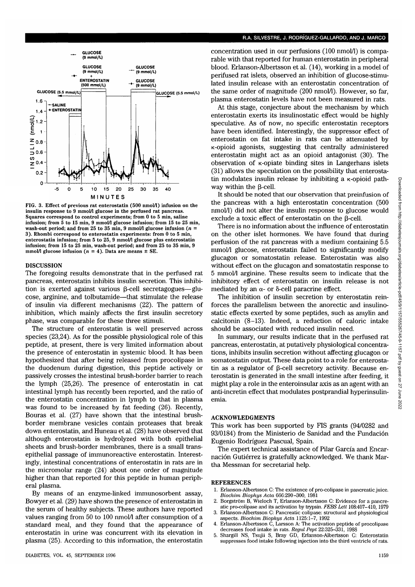

**FIG. 3. Effect of previous rat enterostatin (500 nmol/1) infusion on the** insulin response to 9 mmol/l glucose in the perfused rat pancreas. **Squares correspond to control experiments; from 0 to 5 min, saline** infusion; from 5 to 15 min, 9 mmol/l glucose infusion; from 15 to 25 min, **wash-out period; and from 25 to 35 min, 9 mmol/1 glucose infusion (n = 3). Rhombi correspond to enterostatin experiments: from 0 to 5 min, enterostatin infusion; from 5 to 25, 9 mmol/1 glucose plus enterostatin infusion; from 15 to 25 min, wash-out period; and from 25 to 35 min, 9** mmol/1 glucose infusion  $(n = 4)$ . Data are means  $\pm$  SE.

#### DISCUSSION

The foregoing results demonstrate that in the perfused rat pancreas, enterostatin inhibits insulin secretion. This inhibition is exerted against various  $\beta$ -cell secretagogues—glucose, arginine, and tolbutamide—that stimulate the release of insulin via different mechanisms (22). The pattern of inhibition, which mainly affects the first insulin secretory phase, was comparable for these three stimuli.

The structure of enterostatin is well preserved across species (23,24). As for the possible physiological role of this peptide, at present, there is very limited information about the presence of enterostatin in systemic blood. It has been hypothesized that after being released from procolipase in the duodenum during digestion, this peptide actively or passively crosses the intestinal brush-border barrier to reach the lymph (25,26). The presence of enterostatin in cat intestinal lymph has recently been reported, and the ratio of the enterostatin concentration in lymph to that in plasma was found to be increased by fat feeding (26). Recently, Bouras et al. (27) have shown that the intestinal brushborder membrane vesicles contain proteases that break down enterostatin, and Huneau et al. (28) have observed that although enterostatin is hydrolyzed with both epithelial sheets and brush-border membranes, there is a small transepithelial passage of immunoreactive enterostatin. Interestingly, intestinal concentrations of enterostatin in rats are in the micromolar range (24) about one order of magnitude higher than that reported for this peptide in human peripheral plasma.

By means of an enzyme-linked immunosorbent assay, Bowyer et al. (29) have shown the presence of enterostatin in the serum of healthy subjects. These authors have reported values ranging from 50 to 100 nmol/l after consumption of a standard meal, and they found that the appearance of enterostatin in urine was concurrent with its elevation in plasma (25). According to this information, the enterostatin

## R.A. SILVESTRE, J. RODRIGUEZ-GALLARDO, AND J. MARCO

concentration used in our perfusions (100 nmol/1) is comparable with that reported for human enterostatin in peripheral blood. Erlanson-Albertsson et al. (14), working in a model of perifused rat islets, observed an inhibition of glucose-stimulated insulin release with an enterostatin concentration of the same order of magnitude (200 nmol/1). However, so far, plasma enterostatin levels have not been measured in rats.

At this stage, conjecture about the mechanism by which enterostatin exerts its insulinostatic effect would be highly speculative. As of now, no specific enterostatin receptors have been identified. Interestingly, the suppressor effect of enterostatin on fat intake in rats can be attenuated by  $\kappa$ -opioid agonists, suggesting that centrally administered enterostatin might act as an opioid antagonist (30). The observation of  $\kappa$ -opiate binding sites in Langerhans islets (31) allows the speculation on the possibility that enterostatin modulates insulin release by inhibiting a  $\kappa$ -opioid pathway within the  $\beta$ -cell.

It should be noted that our observation that preinfusion of the pancreas with a high enterostatin concentration (500 nmol/1) did not alter the insulin response to glucose would exclude a toxic effect of enterostatin on the  $\beta$ -cell.

There is no information about the influence of enterostatin on the other islet hormones. We have found that during perfusion of the rat pancreas with a medium containing 5.5 mmol/1 glucose, enterostatin failed to significantly modify glucagon or somatostatin release. Enterostatin was also without effect on the glucagon and somatostatin response to 5 mmol/1 arginine. These results seem to indicate that the inhibitory effect of enterostatin on insulin release is not mediated by an  $\alpha$ - or  $\delta$ -cell paracrine effect.

The inhibition of insulin secretion by enterostatin reinforces the parallelism between the anorectic and insulinostatic effects exerted by some peptides, such as amylin and calcitonin (8-13). Indeed, a reduction of caloric intake should be associated with reduced insulin need.

In summary, our results indicate that in the perfused rat pancreas, enterostatin, at putatively physiological concentrations, inhibits insulin secretion without affecting glucagon or somatostatin output. These data point to a role for enterostatin as a regulator of  $\beta$ -cell secretory activity. Because enterostatin is generated in the small intestine after feeding, it might play a role in the enteroinsular axis as an agent with an anti-incretin effect that modulates postprandial hyperinsulinemia.

## ACKNOWLEDGMENTS

This work has been supported by FIS grants (94/0282 and 93/0184) from the Ministerio de Sanidad and the Fundacion Eugenio Rodriguez Pascual, Spain.

The expert technical assistance of Pilar Garcia and Encarnación Gutiérrez is gratefully acknowledged. We thank Martha Messman for secretarial help.

### **REFERENCES**

- 1. Erlanson-Albertsson C: The existence of pro-colipase in pancreatic juice. *Biochim Biophys Ada* 666:290-300, 1981
- Borgström B, Wieloch T, Erlanson-Albertsson C: Evidence for a pancreatic pro-colipase and its activation by trypsin. *FEBS Lett,* 108:407-410, 1979
- 3. Erlanson-Albertsson C: Pancreatic colipase: structural and physiological aspects. *Biochim Biophys Ada* 1125:1-7, 1992
- 4. Erlanson-Albertsson C, Larsson A: The activation peptide of procolipase decreases food intake in rats. *Regul Pept* 22:325-331, 1988
- 5. Shargill NS, Tsujii S, Bray GD, Erlanson-Albertsson C: Enterostatin suppresses food intake following injection into the third ventricle of rate.